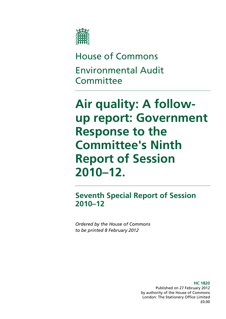

# House of Commons Environmental Audit **Committee**

# **Air quality: A followup report: Government Response to the Committee's Ninth Report of Session 2010–12.**

**Seventh Special Report of Session 2010–12** 

*Ordered by the House of Commons to be printed 8 February 2012* 

> **HC 1820**  Published on 27 February 2012 by authority of the House of Commons London: The Stationery Office Limited £0.00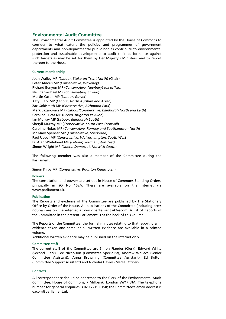#### **Environmental Audit Committee**

The Environmental Audit Committee is appointed by the House of Commons to consider to what extent the policies and programmes of government departments and non-departmental public bodies contribute to environmental protection and sustainable development; to audit their performance against such targets as may be set for them by Her Majesty's Ministers; and to report thereon to the House.

#### **Current membership**

Joan Walley MP *(Labour, Stoke-on-Trent North)* (Chair) Peter Aldous MP *(Conservative, Waveney)*  Richard Benyon MP (*Conservative, Newbury*) *[ex-officio]*  Neil Carmichael MP *(Conservative, Stroud*) Martin Caton MP (*Labour, Gower*) Katy Clark MP (*Labour, North Ayrshire and Arran*) Zac Goldsmith MP (*Conservative, Richmond Park*) Mark Lazarowicz MP (*Labour/Co-operative, Edinburgh North and Leith*) Caroline Lucas MP (*Green, Brighton Pavilion*) Ian Murray MP (*Labour, Edinburgh South*) Sheryll Murray MP (*Conservative, South East Cornwall*) Caroline Nokes MP (*Conservative, Romsey and Southampton North*) Mr Mark Spencer MP (*Conservative, Sherwood*) Paul Uppal MP (*Conservative, Wolverhampton, South West* Dr Alan Whitehead MP *(Labour, Southampton Test)*  Simon Wright MP *(Liberal Democrat, Norwich South)* 

The following member was also a member of the Committee during the Parliament:

Simon Kirby MP (*Conservative, Brighton Kemptown*)

#### **Powers**

The constitution and powers are set out in House of Commons Standing Orders, principally in SO No 152A. These are available on the internet via www.parliament.uk.

#### **Publication**

The Reports and evidence of the Committee are published by The Stationery Office by Order of the House. All publications of the Committee (including press notices) are on the internet at www.parliament.uk/eacom. A list of Reports of the Committee in the present Parliament is at the back of this volume.

The Reports of the Committee, the formal minutes relating to that report, oral evidence taken and some or all written evidence are available in a printed volume.

Additional written evidence may be published on the internet only.

#### **Committee staff**

The current staff of the Committee are Simon Fiander (Clerk), Edward White (Second Clerk), Lee Nicholson (Committee Specialist), Andrew Wallace (Senior Committee Assistant), Anna Browning (Committee Assistant), Ed Bolton (Committee Support Assistant) and Nicholas Davies (Media Officer).

#### **Contacts**

All correspondence should be addressed to the Clerk of the Environmental Audit Committee, House of Commons, 7 Millbank, London SW1P 3JA. The telephone number for general enquiries is 020 7219 6150; the Committee's email address is eacom@parliament.uk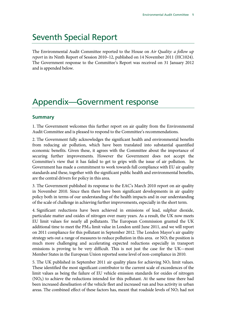# Seventh Special Report

The Environmental Audit Committee reported to the House on *Air Quality: a follow up report* in its Ninth Report of Session 2010–12, published on 14 November 2011 (HC1024). The Government response to the Committee's Report was received on 31 January 2012 and is appended below.

# Appendix—Government response

### **Summary**

1. The Government welcomes this further report on air quality from the Environmental Audit Committee and is pleased to respond to the Committee's recommendations.

2. The Government fully acknowledges the significant health and environmental benefits from reducing air pollution, which have been translated into substantial quantified economic benefits. Given these, it agrees with the Committee about the importance of securing further improvements. However the Government does not accept the Committee's view that it has failed to get to grips with the issue of air pollution. he Government has made a commitment to work towards full compliance with EU air quality standards and these, together with the significant public health and environmental benefits, are the central drivers for policy in this area.

3. The Government published its response to the EAC's March 2010 report on air quality in November 2010. Since then there have been significant developments in air quality policy both in terms of our understanding of the health impacts and in our understanding of the scale of challenge in achieving further improvements, especially in the short term.

4. Significant reductions have been achieved in emissions of lead, sulphur dioxide, particulate matter and oxides of nitrogen over many years. As a result, the UK now meets EU limit values for nearly all pollutants. The European Commission granted the UK additional time to meet the  $PM_{10}$  limit value in London until June 2011, and we will report on 2011 compliance for this pollutant in September 2012. The London Mayor's air quality strategy sets out a range of measures to reduce pollution in this area. or  $NO<sub>2</sub>$  the position is much more challenging and accelerating expected reductions especially in transport emissions is proving to be very difficult. This is not just the case for the UK—most Member States in the European Union reported some level of non-compliance in 2010.

5. The UK published in September 2011 air quality plans for achieving  $NO<sub>2</sub>$  limit values. These identified the most significant contributor to the current scale of exceedences of the limit values as being the failure of EU vehicle emission standards for oxides of nitrogen  $(NO<sub>x</sub>)$  to achieve the reductions intended for this pollutant. At the same time there had been increased dieselisation of the vehicle fleet and increased van and bus activity in urban areas. The combined effect of these factors has, meant that roadside levels of  $NO<sub>2</sub>$  had not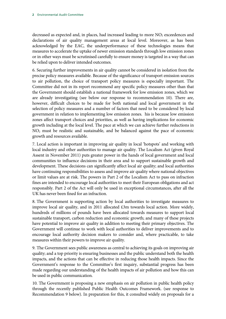decreased as expected and, in places, had increased leading to more  $NO<sub>2</sub>$  exceedences and declarations of air quality management areas at local level. Moreover, as has been acknowledged by the EAC, the underperformance of these technologies means that measures to accelerate the uptake of newer emission standards through low emission zones or in other ways must be scrutinised carefully to ensure money is targeted in a way that can be relied upon to deliver intended outcomes.

6. Securing further improvements in air quality cannot be considered in isolation from the precise policy measures available. Because of the significance of transport emission sources to air pollution, the choice of transport policy measures is especially important. The Committee did not in its report recommend any specific policy measures other than that the Government should establish a national framework for low emission zones, which we are already investigating (see below our response to recommendation 10). There are, however, difficult choices to be made for both national and local government in the selection of policy measures and a number of factors that need to be considered by local government in relation to implementing low emission zones. his is because low emission zones affect transport choices and priorities, as well as having implications for economic growth including at the local level. The pace at which we can achieve further reductions in  $NO<sub>2</sub>$  must be realistic and sustainable, and be balanced against the pace of economic growth and resources available.

7. Local action is important in improving air quality in local 'hotspots' and working with local industry and other authorities to manage air quality. The Localism Act (given Royal Assent in November 2011) puts greater power in the hands of local government and local communities to influence decisions in their area and to support sustainable growth and development. These decisions can significantly affect local air quality; and local authorities have continuing responsibilities to assess and improve air quality where national objectives or limit values are at risk. The powers in Part 2 of the Localism Act to pass on infraction fines are intended to encourage local authorities to meet their European obligations and act responsibly. Part 2 of the Act will only be used in exceptional circumstances, after all the UK has never been fined for an infraction.

8. The Government is supporting action by local authorities to investigate measures to improve local air quality, and in 2011 allocated £3m towards local action. More widely, hundreds of millions of pounds have been allocated towards measures to support local sustainable transport, carbon reduction and economic growth; and many of these projects have potential to improve air quality in addition to meeting their primary objectives. The Government will continue to work with local authorities to deliver improvements and to encourage local authority decision makers to consider and, where practicable, to take measures within their powers to improve air quality.

9. The Government sees public awareness as central to achieving its goals on improving air quality; and a top priority is ensuring businesses and the public understand both the health impacts, and the actions that can be effective in reducing those health impacts. Since the Government's response to the Committee's first inquiry, substantial progress has been made regarding our understanding of the health impacts of air pollution and how this can be used in public communication.

10. The Government is proposing a new emphasis on air pollution in public health policy through the recently published Public Health Outcomes Framework. (see response to Recommendation 9 below). In preparation for this, it consulted widely on proposals for a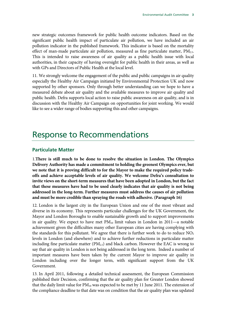new strategic outcomes framework for public health outcome indicators. Based on the significant public health impact of particulate air pollution, we have included an air pollution indicator in the published framework. This indicator is based on the mortality effect of man-made particulate air pollution, measured as fine particulate matter,  $PM_{2.5}$ . This is intended to raise awareness of air quality as a public health issue with local authorities, in their capacity of having oversight for public health in their areas, as well as with GPs and Directors of Public Health at the local level.

11. We strongly welcome the engagement of the public and public campaigns in air quality especially the Healthy Air Campaign initiated by Environmental Protection UK and now supported by other sponsors. Only through better understanding can we hope to have a measured debate about air quality and the available measures to improve air quality and public health. Defra supports local action to raise public awareness on air quality, and is in discussion with the Healthy Air Campaign on opportunities for joint working. We would like to see a wider range of bodies supporting this and other campaigns.

# Response to Recommendations

### **Particulate Matter**

1.**There is still much to be done to resolve the situation in London. The Olympics Delivery Authority has made a commitment to holding the greenest Olympics ever, but we note that it is proving difficult to for the Mayor to make the required policy tradeoffs and achieve acceptable levels of air quality. We welcome Defra's consultation to invite views on the short-term measures that have been adopted in London, but the fact that these measures have had to be used clearly indicates that air quality is not being addressed in the long-term. Further measures must address the causes of air pollution and must be more credible than spraying the roads with adhesive. (Paragraph 16)**

12. London is the largest city in the European Union and one of the most vibrant and diverse in its economy. This represents particular challenges for the UK Government, the Mayor and London Boroughs to enable sustainable growth and to support improvements in air quality. We expect to have met  $PM_{10}$  limit values in London in 2011—a notable achievement given the difficulties many other European cities are having complying with the standards for this pollutant. We agree that there is further work to do to reduce  $NO<sub>2</sub>$ levels in London (and elsewhere) and to achieve further reductions in particulate matter including fine particulate matter ( $PM<sub>2.5</sub>$ ) and black carbon. However the EAC is wrong to say that air quality in London is not being addressed in the long term. Indeed a number of important measures have been taken by the current Mayor to improve air quality in London including over the longer term, with significant support from the UK Government.

13. In April 2011, following a detailed technical assessment, the European Commission published their Decision, confirming that the air quality plan for Greater London showed that the daily limit value for  $PM_{10}$  was expected to be met by 11 June 2011. The extension of the compliance deadline to that date was on condition that the air quality plan was updated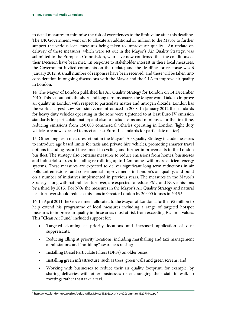to detail measures to minimise the risk of exceedences to the limit value after this deadline. The UK Government went on to allocate an additional £5 million to the Mayor to further support the various local measures being taken to improve air quality. An update on delivery of these measures, which were set out in the Mayor's Air Quality Strategy, was submitted to the European Commission, who have now confirmed that the conditions of their Decision have been met. In response to stakeholder interest in these local measures, the Government invited comments on the update; and the deadline for response was 6 January 2012. A small number of responses have been received; and these will be taken into consideration in ongoing discussions with the Mayor and the GLA to improve air quality in London.

14. The Mayor of London published his Air Quality Strategy for London on 14 December 2010. This set out both the short and long term measures the Mayor would take to improve air quality in London with respect to particulate matter and nitrogen dioxide. London has the world's largest Low Emission Zone introduced in 2008. In January 2012 the standards for heavy duty vehicles operating in the zone were tightened to at least Euro IV emission standards for particulate matter; and also to include vans and minibuses for the first time, reducing emissions from 150,000 commercial vehicles operating in London (light duty vehicles are now expected to meet at least Euro III standards for particulate matter).

15. Other long term measures set out in the Mayor's Air Quality Strategy include measures to introduce age based limits for taxis and private hire vehicles, promoting smarter travel options including record investment in cycling, and further improvements to the London bus fleet. The strategy also contains measures to reduce emissions from homes, businesses and industrial sources, including retrofitting up to 1.2m homes with more efficient energy systems. These measures are expected to deliver significant long term reductions in air pollutant emissions, and consequential improvements in London's air quality, and build on a number of initiatives implemented in previous years. The measures in the Mayor's Strategy, along with natural fleet turnover, are expected to reduce  $PM_{10}$  and  $NO<sub>X</sub>$  emissions by a third by 2015. For  $NO<sub>X</sub>$  the measures in the Mayor's Air Quality Strategy and natural fleet turnover should reduce emissions in Greater London by 20,000 tonnes in 2015.<sup>1</sup>

16. In April 2011 the Government allocated to the Mayor of London a further £5 million to help extend his programme of local measures including a range of targeted hotspot measures to improve air quality in those areas most at risk from exceeding EU limit values. This "Clean Air Fund" included support for:

- Targeted cleaning at priority locations and increased application of dust suppressants;
- Reducing idling at priority locations, including marshalling and taxi management at rail stations and "no-idling" awareness raising;
- Installing Diesel Particulate Filters (DPFs) on older buses;
- Installing green infrastructure, such as trees, green walls and green screens; and
- Working with businesses to reduce their air quality footprint, for example, by sharing deliveries with other businesses or encouraging their staff to walk to meetings rather than take a taxi.

1 http://www.london.gov.uk/sites/default/files/MAQS%20Executive%20Summary%20FINAL.pdf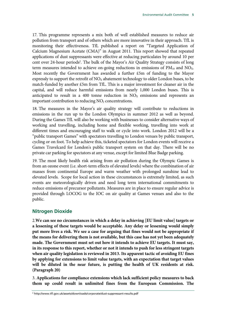17. This programme represents a mix both of well established measures to reduce air pollution from transport and of others which are more innovative in their approach. TfL is monitoring their effectiveness. TfL published a report on "Targeted Application of Calcium Magnesium Acetate (CMA)" in August 2011. This report showed that repeated applications of dust suppressants were effective at reducing particulates by around 10 per cent over 24-hour periods<sup>2</sup>. The bulk of the Mayor's Air Quality Strategy consists of long term measures intended to achieve on-going reductions in emissions of  $PM_{10}$  and  $NO<sub>x</sub>$ . Most recently the Government has awarded a further £5m of funding to the Mayor expressly to support the retrofit of  $NO<sub>X</sub>$  abatement technology to older London buses, to be match-funded by another £5m from TfL. This is a major investment for cleaner air in the capital, and will reduce harmful emissions from nearly 1,000 London buses. This is anticipated to result in a 400 tonne reduction in  $NO<sub>X</sub>$  emissions and represents an important contribution to reducing  $NO<sub>2</sub>$  concentrations.

18. The measures in the Mayor's air quality strategy will contribute to reductions in emissions in the run up to the London Olympics in summer 2012 as well as beyond. During the Games TfL will also be working with businesses to consider alternative ways of working and travelling, including home and flexible working, travelling into work at different times and encouraging staff to walk or cycle into work. London 2012 will be a "public transport Games" with spectators travelling to London venues by public transport, cycling or on foot. To help achieve this, ticketed spectators for London events will receive a Games Travelcard for London's public transport system on that day. There will be no private car parking for spectators at any venue, except for limited Blue Badge parking.

19. The most likely health risk arising from air pollution during the Olympic Games is from an ozone event (i.e. short-term effects of elevated levels) where the combination of air masses from continental Europe and warm weather with prolonged sunshine lead to elevated levels. Scope for local action in these circumstances is extremely limited, as such events are meteorologically driven and need long term international commitments to reduce emissions of precursor pollutants. Measures are in place to ensure regular advice is provided through LOCOG to the IOC on air quality at Games venues and also to the public.

## **Nitrogen Dioxide**

2.**We can see no circumstances in which a delay in achieving [EU limit value] targets or a lessening of these targets would be acceptable. Any delay or lessening would simply put more lives a risk. We see a case for arguing that fines would not be appropriate if the means for delivering them is not available, but this case has not yet been adequately made. The Government must set out how it intends to achieve EU targets. It must say, in its response to this report, whether or not it intends to push for less stringent targets when air quality legislation is reviewed in 2013. Its apparent tactic of avoiding EU fines by applying for extensions to limit value targets, with an expectation that target values will be diluted in the near future, is putting the health of UK residents at risk. (Paragraph 20)**

3. **Applications for compliance extensions which lack sufficient policy measures to back them up could result in unlimited fines from the European Commission. The**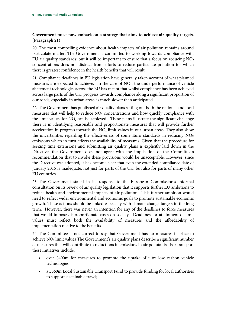## **Government must now embark on a strategy that aims to achieve air quality targets. (Paragraph 21)**

20. The most compelling evidence about health impacts of air pollution remains around particulate matter. The Government is committed to working towards compliance with EU air quality standards; but it will be important to ensure that a focus on reducing  $NO<sub>2</sub>$ concentrations does not distract from efforts to reduce particulate pollution for which there is greatest confidence in the health benefits that will result.

21. Compliance deadlines in EU legislation have generally taken account of what planned measures are expected to achieve. In the case of  $NO<sub>2</sub>$ , the underperformance of vehicle abatement technologies across the EU has meant that whilst compliance has been achieved across large parts of the UK, progress towards compliance along a significant proportion of our roads, especially in urban areas, is much slower than anticipated.

22. The Government has published air quality plans setting out both the national and local measures that will help to reduce  $NO<sub>2</sub>$  concentrations and how quickly compliance with the limit values for  $NO<sub>2</sub>$  can be achieved. These plans illustrate the significant challenge there is in identifying reasonable and proportionate measures that will provide further acceleration in progress towards the  $NO<sub>2</sub>$  limit values in our urban areas. They also show the uncertainties regarding the effectiveness of some Euro standards in reducing  $NO<sub>x</sub>$ emissions which in turn affects the availability of measures. Given that the procedure for seeking time extensions and submitting air quality plans is explicitly laid down in the Directive, the Government does not agree with the implication of the Committee's recommendation that to invoke these provisions would be unacceptable. However, since the Directive was adopted, it has become clear that even the extended compliance date of January 2015 is inadequate, not just for parts of the UK, but also for parts of many other EU countries.

23. The Government stated in its response to the European Commission's informal consultation on its review of air quality legislation that it supports further EU ambitions to reduce health and environmental impacts of air pollution. This further ambition would need to reflect wider environmental and economic goals to promote sustainable economic growth. These actions should be linked especially with climate change targets in the long term. However, there was never an intention for any of the deadlines to force measures that would impose disproportionate costs on society. Deadlines for attainment of limit values must reflect both the availability of measures and the affordability of implementation relative to the benefits.

24. The Committee is not correct to say that Government has no measures in place to achieve  $NO<sub>2</sub>$  limit values The Government's air quality plans describe a significant number of measures that will contribute to reductions in emissions in air pollutants. For transport these initiatives include:

- over £400m for measures to promote the uptake of ultra-low carbon vehicle technologies;
- a £560m Local Sustainable Transport Fund to provide funding for local authorities to support sustainable travel;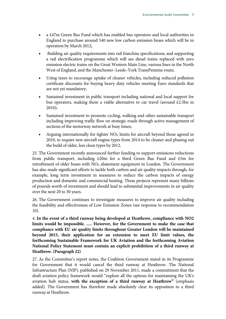- a £47m Green Bus Fund which has enabled bus operators and local authorities in England to purchase around 540 new low carbon emission buses which will be in operation by March 2012;
- Building air quality requirements into rail franchise specifications; and supporting a rail electrification programme which will see diesel trains replaced with zero emission electric trains on the Great Western Main Line, various lines in the North West of England, and the Manchester–Leeds–York TransPennine route;
- Using taxes to encourage uptake of cleaner vehicles, including reduced pollution certificate discounts for buying heavy duty vehicles meeting Euro standards that are not yet mandatory;
- Sustained investment in public transport including national and local support for bus operators, making them a viable alternative to car travel (around £2.5bn in 2010);
- Sustained investment to promote cycling, walking and other sustainable transport including improving traffic flow on strategic roads through active management of sections of the motorway network at busy times;
- Arguing internationally for tighter  $NO<sub>X</sub>$  limits for aircraft beyond those agreed in 2010, to require new aircraft engine types from 2014 to be cleaner and phasing out the build of older, less clean types by 2012.

25. The Government recently announced further funding to support emissions reductions from public transport, including £20m for a third Green Bus Fund and £5m for retrofitment of older buses with  $NO<sub>X</sub>$  abatement equipment in London. The Government has also made significant efforts to tackle both carbon and air quality impacts through, for example, long term investment in measures to reduce the carbon impacts of energy production and domestic and commercial heating. These projects represent many billions of pounds worth of investment and should lead to substantial improvements in air quality over the next 20 to 30 years.

26. The Government continues to investigate measures to improve air quality including the feasibility and effectiveness of Low Emission Zones (see response to recommendation 10).

4. **In the event of a third runway being developed at Heathrow, compliance with NO2 limits would be impossible. ..... However, for the Government to make the case that compliance with EU air quality limits throughout Greater London will be maintained beyond 2015, their application for an extension to meet EU limit values, the forthcoming Sustainable Framework for UK Aviation and the forthcoming Aviation National Policy Statement must contain an explicit prohibition of a third runway at Heathrow. (Paragraph 22)**

27. As the Committee's report notes, the Coalition Government stated in its Programme for Government that it would cancel the third runway at Heathrow. The National Infrastructure Plan (NIP), published on 29 November 2011, made a commitment that the draft aviation policy framework would "explore all the options for maintaining the UK's aviation hub status, **with the exception of a third runway at Heathrow"** (emphasis added). The Government has therefore made absolutely clear its opposition to a third runway at Heathrow.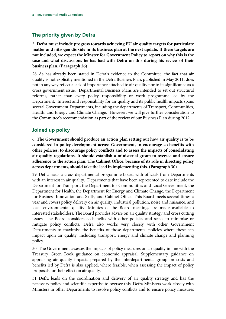# **The priority given by Defra**

5. **Defra must include progress towards achieving EU air quality targets for particulate matter and nitrogen dioxide in its business plan at the next update. If these targets are not included, we expect the Minster for Government Policy to report on why this is the case and what discussions he has had with Defra on this during his review of their business plan. (Paragraph 26)**

28. As has already been stated in Defra's evidence to the Committee, the fact that air quality is not explicitly mentioned in the Defra Business Plan, published in May 2011, does not in any way reflect a lack of importance attached to air quality nor to its significance as a cross government issue. Departmental Business Plans are intended to set out structural reforms, rather than every policy responsibility or work programme led by the Department. Interest and responsibility for air quality and its public health impacts spans several Government Departments, including the departments of Transport, Communities, Health, and Energy and Climate Change. However, we will give further consideration to the Committee's recommendation as part of the review of our Business Plan during 2012.

## **Joined up policy**

6. **The Government should produce an action plan setting out how air quality is to be considered in policy development across Government, to encourage co-benefits with other policies, to discourage policy conflicts and to assess the impacts of consolidating air quality regulations. It should establish a ministerial group to oversee and ensure adherence to the action plan. The Cabinet Office, because of its role in directing policy across departments, should take the lead in implementing this. (Paragraph 30)**

29. Defra leads a cross departmental programme board with officials from Departments with an interest in air quality. Departments that have been represented to date include the Department for Transport, the Department for Communities and Local Government, the Department for Health, the Department for Energy and Climate Change, the Department for Business Innovation and Skills, and Cabinet Office. This Board meets several times a year and covers policy delivery on air quality, industrial pollution, noise and nuisance, and local environmental quality. Minutes of the Board meetings are made available to interested stakeholders. The Board provides advice on air quality strategy and cross cutting issues. The Board considers co-benefits with other policies and seeks to minimise or mitigate policy conflicts. Defra also works very closely with other Government Departments to maximise the benefits of those departments' policies where these can impact upon air quality, including transport, energy and climate change and planning policy.

30. The Government assesses the impacts of policy measures on air quality in line with the Treasury Green Book guidance on economic appraisal. Supplementary guidance on appraising air quality impacts prepared by the interdepartmental group on costs and benefits led by Defra is also applied, where feasible, when assessing the impact of policy proposals for their effect on air quality.

31. Defra leads on the coordination and delivery of air quality strategy and has the necessary policy and scientific expertise to oversee this. Defra Ministers work closely with Ministers in other Departments to resolve policy conflicts and to ensure policy measures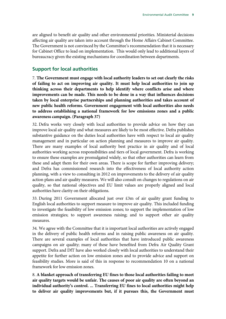are aligned to benefit air quality and other environmental priorities. Ministerial decisions affecting air quality are taken into account through the Home Affairs Cabinet Committee. The Government is not convinced by the Committee's recommendation that it is necessary for Cabinet Office to lead on implementation. This would only lead to additional layers of bureaucracy given the existing mechanisms for coordination between departments.

## **Support for local authorities**

7. **The Government must engage with local authority leaders to set out clearly the risks of failing to act on improving air quality. It must help local authorities to join up thinking across their departments to help identify where conflicts arise and where improvements can be made. This needs to be done in a way that influences decisions taken by local enterprise partnerships and planning authorities and takes account of new public health reforms. Government engagement with local authorities also needs to address establishing a national framework for low emissions zones and a public awareness campaign. (Paragraph 37)**

32. Defra works very closely with local authorities to provide advice on how they can improve local air quality and what measures are likely to be most effective. Defra publishes substantive guidance on the duties local authorities have with respect to local air quality management and in particular on action planning and measures to improve air quality. There are many examples of local authority best practice in air quality and of local authorities working across responsibilities and tiers of local government. Defra is working to ensure these examples are promulgated widely, so that other authorities can learn from these and adapt them for their own areas. There is scope for further improving delivery; and Defra has commissioned research into the effectiveness of local authority action planning, with a view to consulting in 2012 on improvements to the delivery of air quality action plans and air quality measures. We will also consult on changes to regulations on air quality, so that national objectives and EU limit values are properly aligned and local authorities have clarity on their obligations.

33. During 2011 Government allocated just over £3m of air quality grant funding to English local authorities to support measure to improve air quality. This included funding to investigate the feasibility of low emission zones; to support the implementation of low emission strategies; to support awareness raising; and to support other air quality measures.

34. We agree with the Committee that it is important local authorities are actively engaged in the delivery of public health reforms and in raising public awareness on air quality. There are several examples of local authorities that have introduced public awareness campaigns on air quality; many of these have benefited from Defra Air Quality Grant support. Defra and DfT have also worked closely with local authorities to understand their appetite for further action on low emission zones and to provide advice and support on feasibility studies. More is said of this in response to recommendation 10 on a national framework for low emission zones.

8. **A blanket approach of transferring EU fines to those local authorities failing to meet air quality targets would be unfair. The causes of poor air quality are often beyond an individual authority's control. ... Transferring EU fines to local authorities might help to deliver air quality improvements but, if it pursues this, the Government must**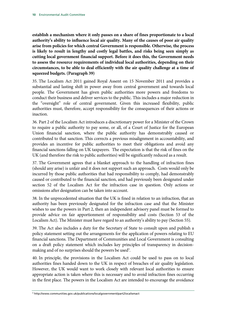**establish a mechanism where it only passes on a share of fines proportionate to a local authority's ability to influence local air quality. Many of the causes of poor air quality arise from policies for which central Government is responsible. Otherwise, the process is likely to result in lengthy and costly legal battles, and risks being seen simply as cutting local government financial support. Before it does this, the Government needs to assess the resource requirements of individual local authorities, depending on their circumstances, to be able to deal efficiently with the air quality challenge at a time of squeezed budgets. (Paragraph 39)**

35. The Localism Act 2011 gained Royal Assent on 15 November 2011 and provides a substantial and lasting shift in power away from central government and towards local people. The Government has given public authorities more powers and freedoms to conduct their business and deliver services to the public. This includes a major reduction in the "oversight" role of central government. Given this increased flexibility, public authorities must, therefore, accept responsibility for the consequences of their actions or inaction.

36. Part 2 of the Localism Act introduces a discretionary power for a Minister of the Crown to require a public authority to pay some, or all, of a Court of Justice for the European Union financial sanction, where the public authority has demonstrably caused or contributed to that sanction. This corrects a previous misalignment in accountability, and provides an incentive for public authorities to meet their obligations and avoid any financial sanctions falling on UK taxpayers. The expectation is that the risk of fines on the UK (and therefore the risk to public authorities) will be significantly reduced as a result.

37. The Government agrees that a blanket approach to the handling of infraction fines (should any arise) is unfair and it does not support such an approach. Costs would only be incurred by those public authorities that had responsibility to comply, had demonstrably caused or contributed to the financial sanction, and had previously been designated under section 52 of the Localism Act for the infraction case in question. Only actions or omissions after designation can be taken into account.

38. In the unprecedented situation that the UK is fined in relation to an infraction, that an authority has been previously designated for the infraction case and that the Minister wishes to use the powers in Part 2, then an independent advisory panel must be formed to provide advice on fair apportionment of responsibility and costs (Section 53 of the Localism Act). The Minister must have regard to an authority's ability to pay (Section 55).

39. The Act also includes a duty for the Secretary of State to consult upon and publish a policy statement setting out the arrangements for the application of powers relating to EU financial sanctions. The Department of Communities and Local Government is consulting on a draft policy statement which includes key principles of transparency in decisionmaking and of no surprises should the powers be used<sup>3</sup>.

40. In principle, the provisions in the Localism Act could be used to pass on to local authorities fines handed down to the UK in respect of breaches of air quality legislation. However, the UK would want to work closely with relevant local authorities to ensure appropriate action is taken where this is necessary and to avoid infraction fines occurring in the first place. The powers in the Localism Act are intended to encourage the avoidance

<sup>3</sup> http://www.communities.gov.uk/publications/localgovernment/part2localismact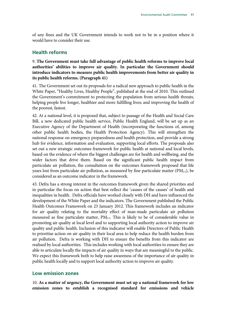of any fines and the UK Government intends to work not to be in a position where it would have to consider their use.

#### **Health reforms**

9. **The Government must take full advantage of public health reforms to improve local authorities' abilities to improve air quality. In particular the Government should introduce indicators to measure public health improvements from better air quality in its public health reforms. (Paragraph 41)**

41. The Government set out its proposals for a radical new approach to public health in the White Paper, "Healthy Lives, Healthy People", published at the end of 2010. This outlined the Government's commitment to protecting the population from serious health threats; helping people live longer, healthier and more fulfilling lives; and improving the health of the poorest, fastest.

42. At a national level, it is proposed that, subject to passage of the Health and Social Care Bill, a new dedicated public health service, Public Health England, will be set up as an Executive Agency of the Department of Health (incorporating the functions of, among other public health bodies, the Health Protection Agency). This will strengthen the national response on emergency preparedness and health protection, and provide a strong hub for evidence, information and evaluation, supporting local efforts. The proposals also set out a new strategic outcomes framework for public health at national and local levels, based on the evidence of where the biggest challenges are for health and wellbeing, and the wider factors that drive them. Based on the significant public health impact from particulate air pollution, the consultation on the outcomes framework proposed that life vears lost from particulate air pollution, as measured by fine particulate matter ( $PM<sub>2.5</sub>$ ), be considered as an outcome indicator in the framework.

43. Defra has a strong interest in the outcomes framework given the shared priorities and in particular the focus on action that best reflect the 'causes of the causes' of health and inequalities in health. Defra officials have worked closely with DH and have influenced the development of the White Paper and the indicators. The Government published the Public Health Outcomes Framework on 23 January 2012. This framework includes an indicator for air quality relating to the mortality effect of man-made particulate air pollution measured as fine particulate matter,  $PM_{2.5}$ . This is likely to be of considerable value in promoting air quality at local level and to supporting local authority action to improve air quality and public health. Inclusion of this indicator will enable Directors of Public Health to prioritise action on air quality in their local area to help reduce the health burden from air pollution. Defra is working with DH to ensure the benefits from this indicator are realised by local authorities. This includes working with local authorities to ensure they are able to articulate locally the impacts of air quality in ways that are meaningful to the public. We expect this framework both to help raise awareness of the importance of air quality in public health locally and to support local authority action to improve air quality.

#### **Low emission zones**

10. **As a matter of urgency, the Government must set up a national framework for low emission zones to establish a recognised standard for emissions and vehicle**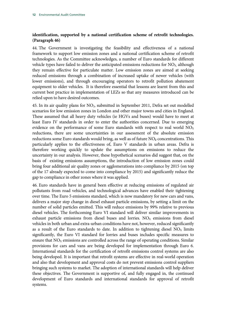#### **identification, supported by a national certification scheme of retrofit technologies. (Paragraph 46)**

44. The Government is investigating the feasibility and effectiveness of a national framework to support low emission zones and a national certification scheme of retrofit technologies. As the Committee acknowledges, a number of Euro standards for different vehicle types have failed to deliver the anticipated emissions reductions for  $NO<sub>x</sub>$  although they remain effective for particulate matter. Low emission zones are aimed at seeking reduced emissions through a combination of increased uptake of newer vehicles (with lower emissions), and through encouraging operators to retrofit pollution abatement equipment to older vehicles. It is therefore essential that lessons are learnt from this and current best practice in implementation of LEZs so that any measures introduced can be relied upon to have desired outcomes.

45. In its air quality plans for NO2, submitted in September 2011, Defra set out modelled scenarios for low emission zones in London and other major towns and cities in England. These assumed that all heavy duty vehicles (ie HGVs and buses) would have to meet at least Euro IV standards in order to enter the authorities concerned. Due to emerging evidence on the performance of some Euro standards with respect to real world  $NO<sub>X</sub>$ reductions, there are some uncertainties in our assessment of the absolute emission reductions some Euro standards would bring, as well as of future NO<sub>2</sub> concentrations. This particularly applies to the effectiveness of, Euro V standards in urban areas. Defra is therefore working quickly to update the assumptions on emissions to reduce the uncertainty in our analysis. However, these hypothetical scenarios did suggest that, on the basis of existing emissions assumptions, the introduction of low emission zones could bring four additional air quality zones or agglomerations into compliance by 2015 (on top of the 17 already expected to come into compliance by 2015) and significantly reduce the gap to compliance in other zones where it was applied.

46. Euro standards have in general been effective at reducing emissions of regulated air pollutants from road vehicles, and technological advances have enabled their tightening over time. The Euro 5 emissions standard, which is now mandatory for new cars and vans, delivers a major step change in diesel exhaust particle emissions, by setting a limit on the number of solid particles emitted. This will reduce emissions by 99% relative to previous diesel vehicles. The forthcoming Euro VI standard will deliver similar improvements in exhaust particle emissions from diesel buses and lorries.  $NO<sub>X</sub>$  emissions from diesel vehicles in both urban and extra-urban conditions have not, however, reduced significantly as a result of the Euro standards to date. In addition to tightening diesel  $NO<sub>x</sub>$  limits significantly, the Euro VI standard for lorries and buses includes specific measures to ensure that  $NO<sub>x</sub>$  emissions are controlled across the range of operating conditions. Similar provisions for cars and vans are being developed for implementation through Euro 6. International standards for the certification of retrofit emissions control systems are also being developed. It is important that retrofit systems are effective in real-world operation and also that development and approval costs do not prevent emissions control suppliers bringing such systems to market. The adoption of international standards will help deliver these objectives. The Government is supportive of, and fully engaged in, the continued development of Euro standards and international standards for approval of retrofit systems.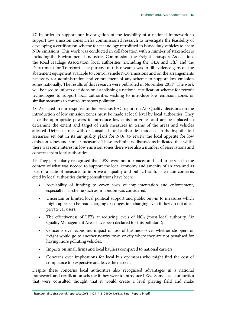47. In order to support our investigation of the feasibility of a national framework to support low emission zones Defra commissioned research to investigate the feasibility of developing a certification scheme for technology retrofitted to heavy duty vehicles to abate  $NO<sub>x</sub>$  emissions. This work was conducted in collaboration with a number of stakeholders including the Environmental Industries Commission, the Freight Transport Association, the Road Haulage Association, local authorities (including the GLA and TfL) and the Department for Transport. The purpose of this research was to fill evidence gaps on the abatement equipment available to control vehicle  $NO<sub>x</sub>$  emissions and on the arrangements necessary for administration and enforcement of any scheme to support low emission zones nationally. The results of this research were published in November 2011<sup>4</sup>. The work will be used to inform decisions on establishing a national certification scheme for retrofit technologies to support local authorities wishing to introduce low emission zones or similar measures to control transport pollution.

48. As stated in our response to the previous EAC report on Air Quality, decisions on the introduction of low emission zones must be made at local level by local authorities. They have the appropriate powers to introduce low emission zones and are best placed to determine the extent and target of such measures in terms of the areas and vehicles affected. Defra has met with or consulted local authorities modelled in the hypothetical scenarios set out in its air quality plans for  $NO<sub>2</sub>$ , to review the local appetite for low emission zones and similar measures. These preliminary discussions indicated that whilst there was some interest in low emission zones there were also a number of reservations and concerns from local authorities.

49. They particularly recognised that LEZs were not a panacea and had to be seen in the context of what was needed to support the local economy and amenity of an area and as part of a suite of measures to improve air quality and public health. The main concerns cited by local authorities during consultations have been:

- Availability of funding to cover costs of implementation and enforcement, especially if a scheme such as in London was considered;
- Uncertain or limited local political support and public buy-in to measures which might appear to be road charging or congestion charging even if they do not affect private car users;
- The effectiveness of LEZs at reducing levels of NO<sub>2</sub> (most local authority Air Quality Management Areas have been declared for this pollutant);
- Concerns over economic impact or loss of business—over whether shoppers or freight would go to another nearby town or city where they are not penalised for having more polluting vehicles;
- Impacts on small firms and local hauliers compared to national carriers;
- Concerns over implications for local bus operators who might find the cost of compliance too expensive and leave the market.

Despite these concerns local authorities also recognised advantages in a national framework and certification scheme if they were to introduce LEZs. Some local authorities that were consulted thought that it would create a level playing field and make

<sup>4</sup> http://uk-air.defra.gov.uk/reports/cat09/1111241413\_29600\_DeNOx\_Final\_Report\_i4.pdf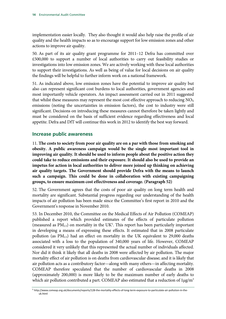implementation easier locally. They also thought it would also help raise the profile of air quality and the health impacts so as to encourage support for low emission zones and other actions to improve air quality.

50. As part of its air quality grant programme for 2011–12 Defra has committed over £500,000 to support a number of local authorities to carry out feasibility studies or investigations into low emission zones. We are actively working with these local authorities to support their investigations. As well as being of value for local decisions on air quality the findings will be helpful to further inform work on a national framework.

51. As indicated above, low emission zones have the potential to improve air quality but also can represent significant cost burdens to local authorities, government agencies and most importantly vehicle operators. An impact assessment carried out in 2011 suggested that whilst these measures may represent the most cost effective approach to reducing  $NO<sub>X</sub>$ emissions (noting the uncertainties in emission factors), the cost to industry were still significant. Decisions on introducing these measures cannot therefore be taken lightly and must be considered on the basis of sufficient evidence regarding effectiveness and local appetite. Defra and DfT will continue this work in 2012 to identify the best way forward.

### **Increase public awareness**

11. **The costs to society from poor air quality are on a par with those from smoking and obesity. A public awareness campaign would be the single most important tool in improving air quality. It should be used to inform people about the positive action they could take to reduce emissions and their exposure. It should also be used to provide an impetus for action in local authorities to deliver more joined up thinking on achieving air quality targets. The Government should provide Defra with the means to launch such a campaign. This could be done in collaboration with existing campaigning groups, to ensure maximum cost effectiveness and coverage. (Paragraph 52)**

52. The Government agrees that the costs of poor air quality on long term health and mortality are significant. Substantial progress regarding our understanding of the health impacts of air pollution has been made since the Committee's first report in 2010 and the Government's response in November 2010.

53. In December 2010, the Committee on the Medical Effects of Air Pollution (COMEAP) published a report which provided estimates of the effects of particulate pollution (measured as  $PM<sub>2.5</sub>$ ) on mortality in the UK<sup>5</sup>. This report has been particularly important in developing a means of expressing these effects. It estimated that in 2008 particulate pollution (as  $PM_{2.5}$ ) had an effect on mortality in the UK equivalent to 29,000 deaths associated with a loss to the population of 340,000 years of life. However, COMEAP considered it very unlikely that this represented the actual number of individuals affected. Nor did it think it likely that all deaths in 2008 were affected by air pollution. The major mortality effect of air pollution is on deaths from cardiovascular disease; and it is likely that air pollution acts as a contributory factor—along with many others—in affecting mortality. COMEAP therefore speculated that the number of cardiovascular deaths in 2008 (approximately 200,000) is more likely to be the maximum number of early deaths to which air pollution contributed a part. COMEAP also estimated that a reduction of  $1\mu\text{g/m}^3$ 

<sup>5</sup> http://www.comeap.org.uk/documents/reports/128-the-mortality-effects-of-long-term-exposure-to-particulate-air-pollution-in-theuk.html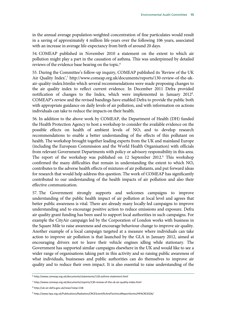in the annual average population-weighted concentration of fine particulates would result in a saving of approximately 4 million life-years over the following 106 years, associated with an increase in average life-expectancy from birth of around 20 days.

54. COMEAP published in November 2010 a statement on the extent to which air pollution might play a part in the causation of asthma. This was underpinned by detailed reviews of the evidence base bearing on the topic.<sup>6</sup>

55. During the Committee's follow-up inquiry, COMEAP published its 'Review of the UK Air Quality Index',<sup>7</sup> http://www.comeap.org.uk/documents/reports/130-review-of-the-ukair-quality-index.htmlin which several recommendations were made proposing changes to the air quality index to reflect current evidence. In December 2011 Defra provided notification of changes to the Index, which were implemented in January 2012<sup>8</sup>. COMEAP's review and the revised bandings have enabled Defra to provide the public both with appropriate guidance on daily levels of air pollution, and with information on actions individuals can take to reduce the impacts on their health.

56. In addition to the above work by COMEAP, the Department of Health (DH) funded the Health Protection Agency to host a workshop to consider the available evidence on the possible effects on health of ambient levels of  $NO<sub>2</sub>$  and to develop research recommendations to enable a better understanding of the effects of this pollutant on health. The workshop brought together leading experts from the UK and mainland Europe (including the European Commission and the World Health Organisation) with officials from relevant Government Departments with policy or advisory responsibility in this area. The report of the workshop was published on 12 September 2012.<sup>9</sup> This workshop confirmed the many difficulties that remain in understanding the extent to which  $NO<sub>2</sub>$ contributes to the adverse health effects of mixtures of air pollutants, and put forward ideas for research that would help address this question. The work of COMEAP has significantly contributed to our understanding of the health impacts of air pollution and also their effective communication.

57. The Government strongly supports and welcomes campaigns to improve understanding of the public health impact of air pollution at local level and agrees that better public awareness is vital. There are already many locally-led campaigns to improve understanding and to encourage positive action to reduce emissions and exposure. Defra air quality grant funding has been used to support local authorities in such campaigns. For example the CityAir campaign led by the Corporation of London works with business in the Square Mile to raise awareness and encourage behaviour change to improve air quality. Another example of a local campaign targeted at a measure where individuals can take action to improve air pollution is that launched by the GLA in January 2012, aimed at encouraging drivers not to leave their vehicle engines idling while stationary. The Government has supported similar campaigns elsewhere in the UK and would like to see a wider range of organisations taking part in this activity and so raising public awareness of what individuals, businesses and public authorities can do themselves to improve air quality and to reduce their own impact. It is also essential to raise understanding of the

<sup>6</sup> http://www.comeap.org.uk/documents/statements/118-asthma-statement.html

<sup>7</sup> http://www.comeap.org.uk/documents/reports/130-review-of-the-uk-air-quality-index.html

<sup>8</sup> http://uk-air.defra.gov.uk/news?view=158

<sup>9</sup> http://www.hpa.org.uk/Publications/Radiation/CRCEScientificAndTechnicalReportSeries/HPACRCE026/